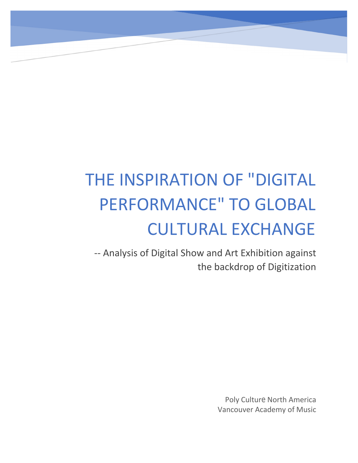# THE INSPIRATION OF "DIGITAL PERFORMANCE" TO GLOBAL CULTURAL EXCHANGE HE INSPIRATION OF "DIGITAL<br>PERFORMANCE" TO GLOBAL<br>CULTURAL EXCHANGE<br>-- Analysis of Digital Show and Art Exhibition against<br>the backdrop of Digitization **ON OF "DIGITAL<br>CE" TO GLOBAL<br>RAL EXCHANGE**<br>w and Art Exhibition against<br>the backdrop of Digitization

Poly Cultur<sup>e</sup> North America Poly Culture North America<br>Vancouver Academy of Music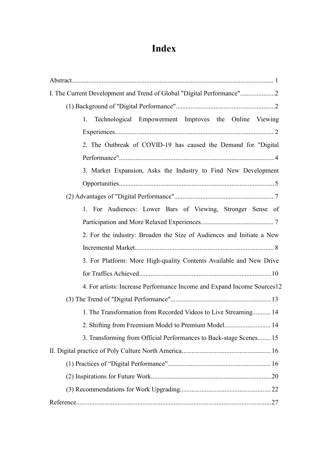## **Index**

| I. The Current Development and Trend of Global "Digital Performance"2   |
|-------------------------------------------------------------------------|
|                                                                         |
| Technological Empowerment Improves the Online Viewing<br>1.             |
|                                                                         |
| 2. The Outbreak of COVID-19 has caused the Demand for "Digital          |
|                                                                         |
| 3. Market Expansion, Asks the Industry to Find New Development          |
|                                                                         |
|                                                                         |
| 1. For Audiences: Lower Bars of Viewing, Stronger Sense of              |
|                                                                         |
| 2. For the industry: Broaden the Size of Audiences and Initiate a New   |
|                                                                         |
| 3. For Platform: More High-quality Contents Available and New Drive     |
|                                                                         |
| 4. For artists: Increase Performance Income and Expand Income Sources12 |
|                                                                         |
| 1. The Transformation from Recorded Videos to Live Streaming 14         |
| 2. Shifting from Freemium Model to Premium Model 14                     |
| 3. Transforming from Official Performances to Back-stage Scenes 15      |
|                                                                         |
|                                                                         |
|                                                                         |
|                                                                         |
|                                                                         |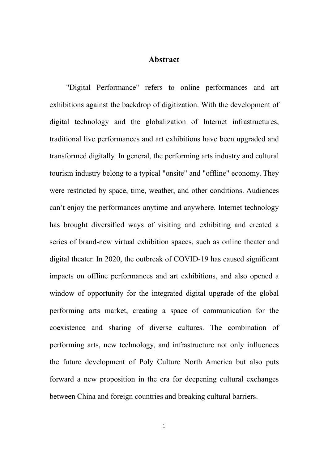#### <span id="page-2-0"></span>**Abstract**

"Digital Performance" refers to online performances and art exhibitions against the backdrop of digitization. With the development of digital technology and the globalization of Internet infrastructures, traditional live performances and art exhibitions have been upgraded and transformed digitally. In general, the performing arts industry and cultural tourism industry belong to a typical "onsite" and "offline" economy. They were restricted by space, time, weather, and other conditions. Audiences can't enjoy the performances anytime and anywhere. Internet technology has brought diversified ways of visiting and exhibiting and created a series of brand-new virtual exhibition spaces, such as online theater and digital theater. In 2020, the outbreak of COVID-19 has caused significant impacts on offline performances and art exhibitions, and also opened a window of opportunity for the integrated digital upgrade of the global performing arts market, creating a space of communication for the coexistence and sharing of diverse cultures. The combination of performing arts, new technology, and infrastructure not only influences the future development of Poly Culture North America but also puts forward a new proposition in the era for deepening cultural exchanges between China and foreign countries and breaking cultural barriers.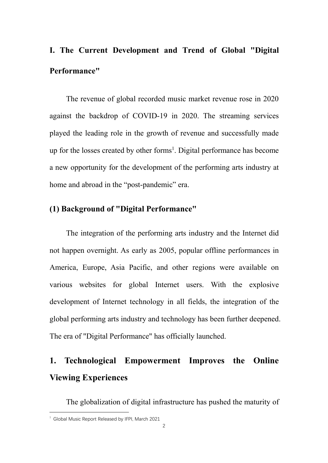# <span id="page-3-0"></span>**I. The Current Development and Trend of Global "Digital Performance"**

The revenue of global recorded music market revenue rose in 2020 against the backdrop of COVID-19 in 2020. The streaming services played the leading role in the growth of revenue and successfully made up for the losses created by other forms [1](#page-3-3) . Digital performance has become a new opportunity for the development of the performing arts industry at home and abroad in the "post-pandemic" era.

#### <span id="page-3-1"></span>**(1) Background of "Digital Performance"**

The integration of the performing arts industry and the Internet did not happen overnight. As early as 2005, popular offline performances in America, Europe, Asia Pacific, and other regions were available on various websites for global Internet users. With the explosive development of Internet technology in all fields, the integration of the global performing arts industry and technology has been further deepened. The era of "Digital Performance" has officially launched.

## <span id="page-3-2"></span>**1. Technological Empowerment Improves the Online Viewing Experiences**

The globalization of digital infrastructure has pushed the maturity of

<span id="page-3-3"></span><sup>&</sup>lt;sup>1</sup> Global Music Report Released by IFPI, March 2021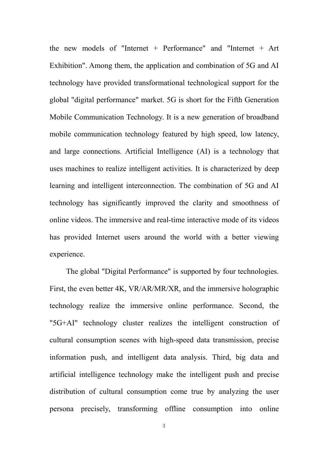the new models of "Internet  $+$  Performance" and "Internet  $+$  Art Exhibition". Among them, the application and combination of 5G and AI technology have provided transformational technological support for the global "digital performance" market. 5G is short for the Fifth Generation Mobile Communication Technology. It is a new generation of broadband mobile communication technology featured by high speed, low latency, and large connections. Artificial Intelligence (AI) is a technology that uses machines to realize intelligent activities. It is characterized by deep learning and intelligent interconnection. The combination of 5G and AI technology has significantly improved the clarity and smoothness of online videos. The immersive and real-time interactive mode of its videos has provided Internet users around the world with a better viewing experience.

The global "Digital Performance" is supported by four technologies. First, the even better 4K, VR/AR/MR/XR, and the immersive holographic technology realize the immersive online performance. Second, the "5G+AI" technology cluster realizes the intelligent construction of cultural consumption scenes with high-speed data transmission, precise information push, and intelligent data analysis. Third, big data and artificial intelligence technology make the intelligent push and precise distribution of cultural consumption come true by analyzing the user persona precisely, transforming offline consumption into online

3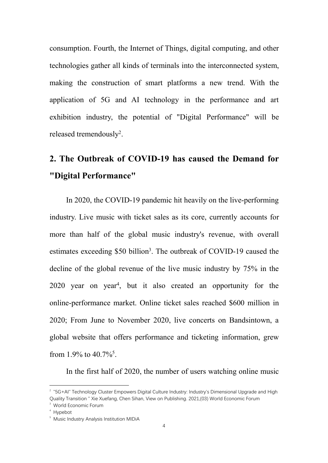consumption. Fourth, the Internet of Things, digital computing, and other technologies gather all kinds of terminals into the interconnected system, making the construction of smart platforms a new trend. With the application of 5G and AI technology in the performance and art exhibition industry, the potential of "Digital Performance" will be released tremendously [2](#page-5-1) .

## <span id="page-5-0"></span>**2. The Outbreak of COVID-19 has caused the Demand for "Digital Performance"**

In 2020, the COVID-19 pandemic hit heavily on the live-performing industry. Live music with ticket sales as its core, currently accounts for more than half of the global music industry's revenue, with overall estimates exceeding \$50 billion [3](#page-5-2) . The outbreak of COVID-19 caused the decline of the global revenue of the live music industry by 75% in the 2020 year on year [4](#page-5-3) , but it also created an opportunity for the online-performance market. Online ticket sales reached \$600 million in 2020; From June to November 2020, live concerts on Bandsintown, a global website that offers performance and ticketing information, grew from 1.9% to  $40.7\%$ <sup>[5](#page-5-4)</sup>. .

In the first half of 2020, the number of users watching online music

<span id="page-5-1"></span><sup>&</sup>lt;sup>2</sup> "5G+AI" Technology Cluster Empowers Digital Culture Industry: Industry's Dimensional Upgrade and High Quality Transition " Xie Xuefang, Chen Sihan, View on Publishing. 2021,(03) World Economic Forum <sup>3</sup> World Economic Forum

<span id="page-5-3"></span><span id="page-5-2"></span><sup>4</sup> Hypebot

<span id="page-5-4"></span><sup>&</sup>lt;sup>5</sup> Music Industry Analysis Institution MIDiA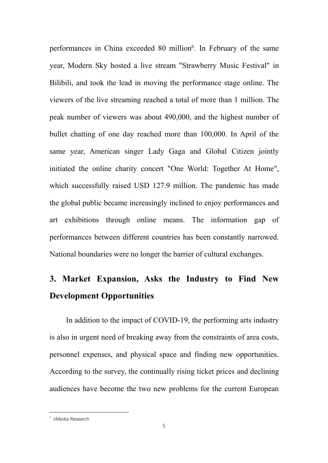performances in China exceeded 80 million [6](#page-6-1) . In February of the same year, Modern Sky hosted a live stream "Strawberry Music Festival" in Bilibili, and took the lead in moving the performance stage online. The viewers of the live streaming reached a total of more than 1 million. The peak number of viewers was about 490,000, and the highest number of bullet chatting of one day reached more than 100,000. In April of the same year, American singer Lady Gaga and Global Citizen jointly initiated the online charity concert "One World: Together At Home", which successfully raised USD 127.9 million. The pandemic has made the global public became increasingly inclined to enjoy performances and art exhibitions through online means. The information gap of performances between different countries has been constantly narrowed. National boundaries were no longer the barrier of cultural exchanges.

## <span id="page-6-0"></span>**3. Market Expansion, Asks the Industry to Find New Development Opportunities**

In addition to the impact of COVID-19, the performing arts industry is also in urgent need of breaking away from the constraints of area costs, personnel expenses, and physical space and finding new opportunities. According to the survey, the continually rising ticket prices and declining audiences have become the two new problems for the current European

<span id="page-6-1"></span><sup>6</sup> iiMedia Research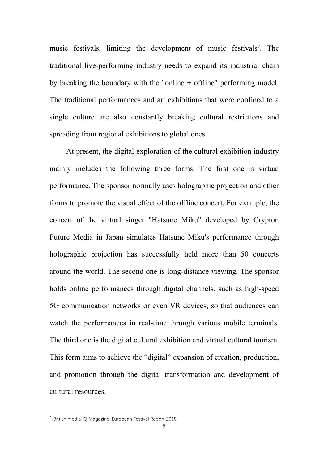music festivals, limiting the development of music festivals<sup>[7](#page-7-0)</sup>. The traditional live-performing industry needs to expand its industrial chain by breaking the boundary with the "online + offline" performing model. The traditional performances and art exhibitions that were confined to a single culture are also constantly breaking cultural restrictions and spreading from regional exhibitions to global ones.

At present, the digital exploration of the cultural exhibition industry mainly includes the following three forms. The first one is virtual performance. The sponsor normally uses holographic projection and other forms to promote the visual effect of the offline concert. For example, the concert of the virtual singer "Hatsune Miku" developed by Crypton Future Media in Japan simulates Hatsune Miku's performance through holographic projection has successfully held more than 50 concerts around the world. The second one is long-distance viewing. The sponsor holds online performances through digital channels, such as high-speed 5G communication networks or even VR devices, so that audiences can watch the performances in real-time through various mobile terminals. The third one is the digital cultural exhibition and virtual cultural tourism. This form aims to achieve the "digital" expansion of creation, production, and promotion through the digital transformation and development of cultural resources.

<span id="page-7-0"></span><sup>7</sup> British media IQ Magazine, European Festival Report 2018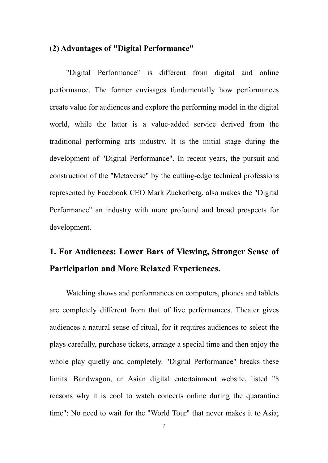#### <span id="page-8-0"></span>**(2) Advantages of "Digital Performance"**

"Digital Performance" is different from digital and online performance. The former envisages fundamentally how performances create value for audiences and explore the performing model in the digital world, while the latter is a value-added service derived from the traditional performing arts industry. It is the initial stage during the development of "Digital Performance". In recent years, the pursuit and construction of the "Metaverse" by the cutting-edge technical professions represented by Facebook CEO Mark Zuckerberg, also makes the "Digital Performance" an industry with more profound and broad prospects for development.

# <span id="page-8-1"></span>**1. For Audiences: Lower Bars of Viewing, Stronger Sense of Participation and More Relaxed Experiences.**

Watching shows and performances on computers, phones and tablets are completely different from that of live performances. Theater gives audiences a natural sense of ritual, for it requires audiences to select the plays carefully, purchase tickets, arrange a special time and then enjoy the whole play quietly and completely. "Digital Performance" breaks these limits. Bandwagon, an Asian digital entertainment website, listed "8 reasons why it is cool to watch concerts online during the quarantine time": No need to wait for the "World Tour" that never makes it to Asia;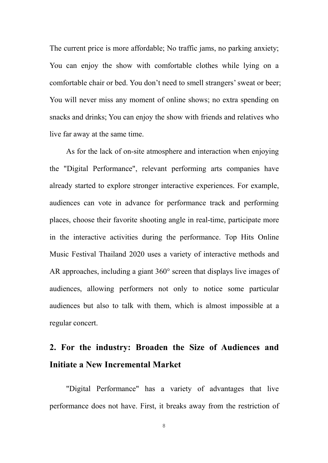The current price is more affordable; No traffic jams, no parking anxiety; You can enjoy the show with comfortable clothes while lying on a comfortable chair or bed. You don't need to smell strangers'sweat or beer; You will never miss any moment of online shows; no extra spending on snacks and drinks; You can enjoy the show with friends and relatives who live far away at the same time.

As for the lack of on-site atmosphere and interaction when enjoying the "Digital Performance", relevant performing arts companies have already started to explore stronger interactive experiences. For example, audiences can vote in advance for performance track and performing places, choose their favorite shooting angle in real-time, participate more in the interactive activities during the performance. Top Hits Online Music Festival Thailand 2020 uses a variety of interactive methods and AR approaches, including a giant 360° screen that displays live images of audiences, allowing performers not only to notice some particular audiences but also to talk with them, which is almostimpossible at a regular concert.

## <span id="page-9-0"></span>**2. For the industry: Broaden the Size of Audiences and Initiate a New Incremental Market**

"Digital Performance" has a variety of advantages that live performance does not have. First, it breaks away from the restriction of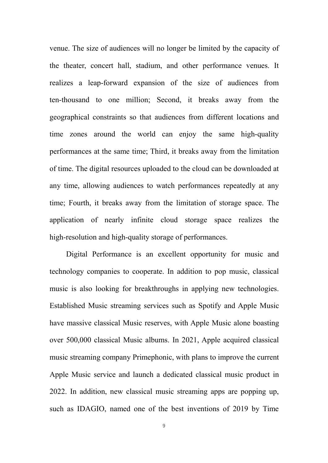venue. The size of audiences will no longer be limited by the capacity of the theater, concert hall, stadium, and other performance venues. It realizes a leap-forward expansion of the size of audiences from ten-thousand to one million; Second, it breaks away from the geographical constraints so that audiences from different locations and time zones around the world can enjoy the same high-quality performances at the same time; Third, it breaks away from the limitation of time. The digital resources uploaded to the cloud can be downloaded at any time, allowing audiences to watch performances repeatedly at any time; Fourth, it breaks away from the limitation of storage space. The application of nearly infinite cloud storage space realizes the high-resolution and high-quality storage of performances.

Digital Performance is an excellent opportunity for music and technology companies to cooperate. In addition to pop music, classical music is also looking for breakthroughs in applying new technologies. Established Music streaming services such as Spotify and Apple Music have massive classical Music reserves, with Apple Music alone boasting over 500,000 classical Music albums. In 2021, Apple acquired classical music streaming company Primephonic, with plans to improve the current Apple Music service and launch a dedicated classical music product in 2022. In addition, new classical music streaming apps are popping up, such as IDAGIO, named one of the best inventions of 2019 by Time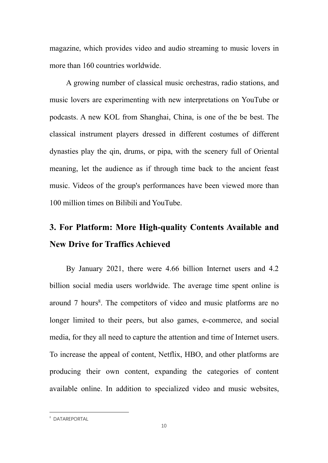magazine, which provides video and audio streaming to music lovers in more than 160 countries worldwide.

A growing number of classical music orchestras, radio stations, and music lovers are experimenting with new interpretations on YouTube or podcasts. A new KOL from Shanghai,China, is one of the be best. The classical instrument players dressed in different costumes of different dynasties play the qin, drums, or pipa, with the scenery full of Oriental meaning, let the audience as if through time back to the ancient feast music. Videos of the group's performances have been viewed more than 100 million times on Bilibili and YouTube.

# <span id="page-11-0"></span>**3. For Platform: More High-quality Contents Available and New Drive for Traffics Achieved**

By January 2021, there were 4.66 billion Internet users and 4.2 billion social media users worldwide. The average time spent online is around 7 hours [8](#page-11-1) . The competitors of video and music platforms are no longer limited to their peers, but also games, e-commerce, and social media, for they all need to capture the attention and time of Internet users. To increase the appeal of content, Netflix, HBO, and other platforms are producing their own content, expanding the categories of content available online. In addition to specialized video and music websites,

<span id="page-11-1"></span><sup>8</sup> DATAREPORTAL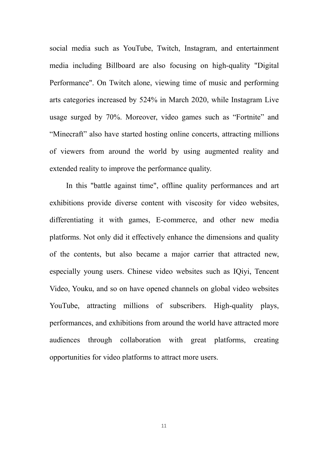social media such as YouTube, Twitch, Instagram, and entertainment media including Billboard are also focusing on high-quality "Digital Performance". On Twitch alone, viewing time of music and performing arts categories increased by 524% in March 2020, while Instagram Live usage surged by 70%. Moreover, video games such as "Fortnite" and "Minecraft" also have started hosting online concerts, attracting millions of viewers from around the world by using augmented reality and extended reality to improve the performance quality.

In this "battle against time", offline quality performances and art exhibitions provide diverse content with viscosity for video websites, differentiating it with games, E-commerce, and other new media platforms. Not only did it effectively enhance the dimensions and quality of the contents, but also became a major carrier that attracted new, especially young users. Chinese video websites such as IQiyi, Tencent Video, Youku, and so on have opened channels on global video websites YouTube, attracting millions of subscribers. High-quality plays, performances, and exhibitions from around the world have attracted more audiences through collaboration with great platforms, creating opportunities for video platforms to attract more users.

11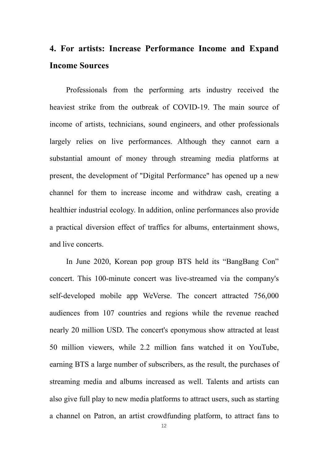## <span id="page-13-0"></span>**4. For artists: Increase Performance Income and Expand Income Sources**

Professionals from the performing arts industry received the heaviest strike from the outbreak of COVID-19. The main source of income of artists, technicians, sound engineers, and other professionals largely relies on live performances. Although they cannot earn a substantial amount of money through streaming media platforms at present, the development of "Digital Performance" has opened up a new channel for them to increase income and withdraw cash, creating a healthier industrial ecology. In addition, online performances also provide a practical diversion effect of traffics for albums, entertainment shows, and live concerts.

In June 2020, Korean pop group BTS held its "BangBang Con" concert. This 100-minute concert was live-streamed via the company's self-developed mobile app WeVerse. The concert attracted 756,000 audiences from 107 countries and regions while the revenue reached nearly 20 million USD. The concert's eponymous show attracted at least 50 million viewers, while 2.2 million fans watched it on YouTube, earning BTS a large number of subscribers, as the result, the purchases of streaming media and albums increased as well. Talents and artists can also give full play to new media platforms to attract users, such as starting a channel on Patron, an artist crowdfunding platform, to attract fans to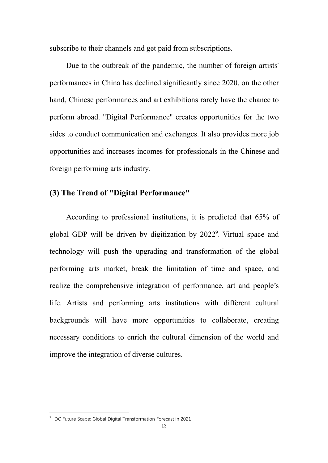subscribe to their channels and get paid from subscriptions.

Due to the outbreak of the pandemic, the number of foreign artists' performances in China has declined significantly since 2020, on the other hand, Chinese performances and art exhibitions rarely have the chance to perform abroad. "Digital Performance" creates opportunities for the two sides to conduct communication and exchanges. It also provides more job opportunities and increases incomes for professionals in the Chinese and foreign performing arts industry.

#### <span id="page-14-0"></span>**(3) The Trend of "Digital Performance"**

According to professional institutions, it is predicted that 65% of global GDP will be driven by digitization by 2022 [9](#page-14-1) . Virtual space and technology will push the upgrading and transformation of the global performing arts market, break the limitation of time and space, and realize the comprehensive integration of performance, art and people's life. Artists and performing arts institutions with different cultural backgrounds will have more opportunities to collaborate, creating necessary conditions to enrich the cultural dimension of the world and improve the integration of diverse cultures.

<span id="page-14-1"></span><sup>9</sup> IDC Future Scape: Global Digital Transformation Forecast in 2021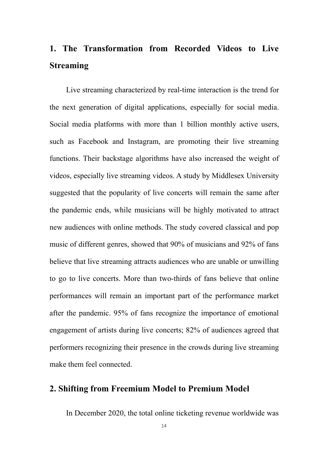# <span id="page-15-0"></span>**1. The Transformation from Recorded Videosto Live Streaming**

Live streaming characterized by real-time interaction is the trend for the next generation of digital applications, especially for social media. Social media platforms with more than 1 billion monthly active users, such as Facebook and Instagram, are promoting their live streaming functions. Their backstage algorithms have also increased the weight of videos, especially live streaming videos. A study by Middlesex University suggested that the popularity of live concerts will remain the same after the pandemic ends, while musicians will be highly motivated to attract new audiences with online methods. The study covered classical and pop music of different genres, showed that 90% of musicians and 92% of fans believe that live streaming attracts audiences who are unable or unwilling to go to live concerts. More than two-thirds of fans believe that online performances will remain an important part of the performance market after the pandemic. 95% of fans recognize the importance of emotional engagement of artists during live concerts; 82% of audiences agreed that performers recognizing their presence in the crowds during live streaming make them feel connected.

#### <span id="page-15-1"></span>**2. Shifting from Freemium Model to Premium Model**

In December 2020, the total online ticketing revenue worldwide was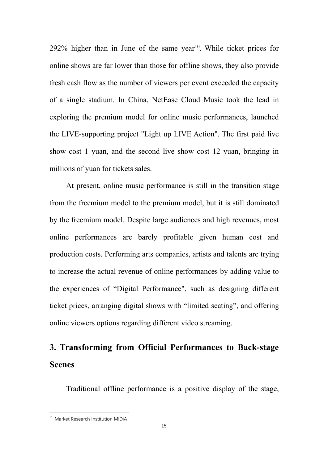292% higher than in June of the same year [10](#page-16-1) . While ticket prices for online shows are far lower than those for offline shows, they also provide fresh cash flow as the number of viewers per event exceeded the capacity of a single stadium. In China, NetEase Cloud Music took the lead in exploring the premium model for online music performances, launched the LIVE-supporting project "Light up LIVE Action". The first paid live show cost 1 yuan, and the second live show cost 12 yuan, bringing in millions of yuan for tickets sales.

At present, online music performance is still in the transition stage from the freemium model to the premium model, but it is still dominated by the freemium model. Despite large audiences and high revenues, most online performances are barely profitable given human cost and production costs. Performing arts companies, artists and talents are trying to increase the actual revenue of online performances by adding value to the experiences of "Digital Performance", such as designing different ticket prices, arranging digital shows with "limited seating", and offering online viewers options regarding different video streaming.

# <span id="page-16-0"></span>**3. Transforming from Official Performances to Back-stage Scenes**

Traditional offline performance is a positive display of the stage,

<span id="page-16-1"></span><sup>&</sup>lt;sup>10</sup> Market Research Institution MIDiA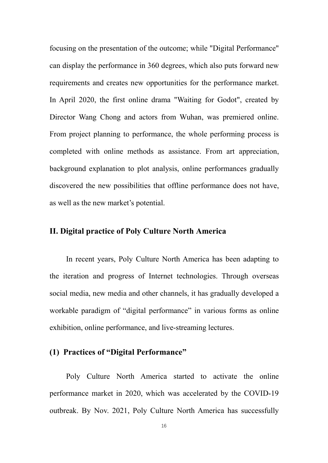focusing on the presentation of the outcome; while "Digital Performance" can display the performance in 360 degrees, which also puts forward new requirements and creates new opportunities for the performance market. In April 2020, the first online drama "Waiting for Godot", created by Director Wang Chong and actors from Wuhan, was premiered online. From project planning to performance, the whole performing process is completed with online methods as assistance. From art appreciation, background explanation to plot analysis, online performances gradually discovered the new possibilities that offline performance does not have, as well as the new market's potential.

#### <span id="page-17-0"></span>**II. Digital practice of Poly Culture North America**

In recent years, Poly Culture North America has been adapting to the iteration and progress of Internet technologies. Through overseas social media, new media and other channels, it has gradually developed a workable paradigm of "digital performance" in various forms as online exhibition, online performance, and live-streaming lectures.

#### <span id="page-17-1"></span>**(1) Practices of"Digital Performance"**

Poly Culture North America started to activate the online performance market in 2020, which was accelerated by the COVID-19 outbreak. By Nov. 2021, Poly Culture North America has successfully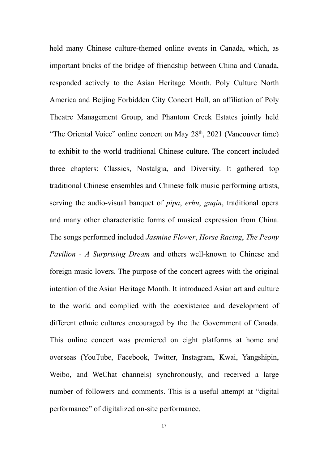held many Chinese culture-themed online events in Canada, which, as important bricks of the bridge of friendship between China and Canada, responded actively to the Asian Heritage Month. Poly Culture North America and Beijing Forbidden City Concert Hall, an affiliation of Poly Theatre Management Group, and Phantom Creek Estates jointly held "The Oriental Voice" online concert on May 28<sup>th</sup>, 2021 (Vancouver time) to exhibit to the world traditional Chinese culture. The concert included three chapters: Classics, Nostalgia, and Diversity. It gathered top traditional Chinese ensembles and Chinese folk music performing artists, serving the audio-visual banquet of *pipa*, *erhu*, *guqin*, traditional opera and many other characteristic forms of musical expression from China. The songs performed included *Jasmine Flower*, *Horse Racing*, *The Peony Pavilion - A Surprising Dream* and others well-known to Chinese and foreign music lovers. The purpose of the concert agrees with the original intention of the Asian Heritage Month. It introduced Asian art and culture to the world and complied with the coexistence and development of different ethnic cultures encouraged by the the Government of Canada. This online concert was premiered on eight platforms at home and overseas (YouTube, Facebook, Twitter, Instagram, Kwai, Yangshipin, Weibo, and WeChat channels) synchronously, and received a large number of followers and comments. This is a useful attempt at "digital" performance" of digitalized on-site performance.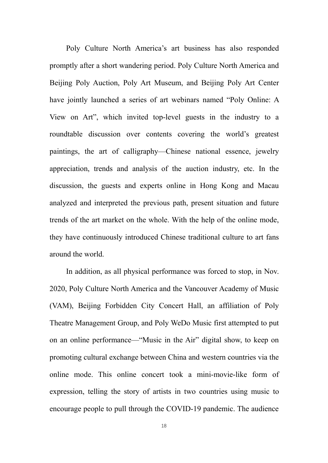Poly Culture North America's art business has also responded promptly after a short wandering period. Poly Culture North America and Beijing Poly Auction, Poly Art Museum, and Beijing Poly Art Center have jointly launched a series of art webinars named "Poly Online: A View on Art", which invited top-level guests in the industry to a roundtable discussion over contents covering the world's greatest paintings, the art of calligraphy—Chinese national essence, jewelry appreciation, trends and analysis of the auction industry, etc. In the discussion, the guests and experts online in Hong Kong and Macau analyzed and interpreted the previous path, present situation and future trends of the art market on the whole. With the help of the online mode, they have continuously introduced Chinese traditional culture to art fans around the world.

In addition, as all physical performance was forced to stop, in Nov. 2020, Poly Culture North America and the Vancouver Academy of Music (VAM), Beijing Forbidden City Concert Hall, an affiliation of Poly Theatre Management Group, and Poly WeDo Music first attempted to put on an online performance—"Music in the Air" digital show, to keep on promoting cultural exchange between China and western countries via the online mode. This online concert took a mini-movie-like form of expression, telling the story of artists in two countries using music to encourage people to pull through the COVID-19 pandemic. The audience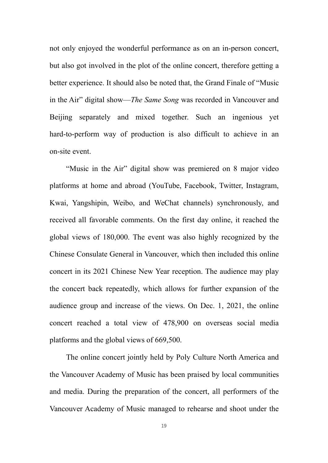not only enjoyed the wonderful performance as on an in-person concert, but also got involved in the plot of the online concert, therefore getting a better experience. It should also be noted that, the Grand Finale of "Music in the Air" digital show—*The Same Song* was recorded in Vancouver and Beijing separately and mixed together. Such an ingenious yet hard-to-perform way of production is also difficult to achieve in an on-site event.

"Music in the Air" digital show was premiered on 8 major video platforms at home and abroad (YouTube, Facebook, Twitter, Instagram, Kwai, Yangshipin, Weibo, and WeChat channels) synchronously, and received all favorable comments. On the first day online, it reached the global views of 180,000. The event was also highly recognized by the Chinese Consulate General in Vancouver, which then included this online concert in its 2021 Chinese New Year reception. The audience may play the concert back repeatedly, which allows for further expansion of the audience group and increase of the views. On Dec. 1, 2021, the online concert reached a total view of 478,900 on overseas social media platforms and the global views of 669,500.

The online concert jointly held by Poly Culture North America and the Vancouver Academy of Music has been praised by local communities and media. During the preparation of the concert, all performers of the Vancouver Academy of Music managed to rehearse and shoot under the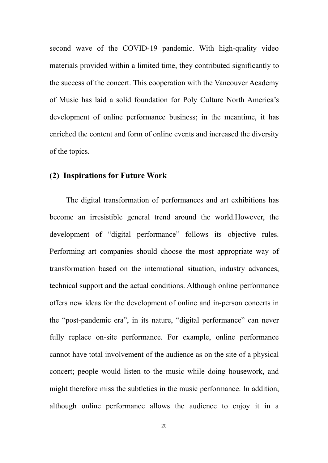second wave of the COVID-19 pandemic. With high-quality video materials provided within a limited time, they contributed significantly to the success of the concert. This cooperation with the Vancouver Academy of Music has laid a solid foundation for Poly Culture North America's development of online performance business; in the meantime, it has enriched the content and form of online events and increased the diversity of the topics.

#### <span id="page-21-0"></span>**(2) Inspirations for Future Work**

The digital transformation of performances and art exhibitions has become an irresistible general trend around the world.However, the development of "digital performance" follows its objective rules. Performing art companies should choose the most appropriate way of transformation based on the international situation, industry advances, technical support and the actual conditions. Although online performance offers new ideas for the development of online and in-person concerts in the "post-pandemic era", in its nature, "digital performance" can never fully replace on-site performance. For example, online performance cannot have total involvement of the audience as on the site of a physical concert; people would listen to the music while doing housework, and might therefore miss the subtleties in the music performance. In addition, although online performance allows the audience to enjoy it in a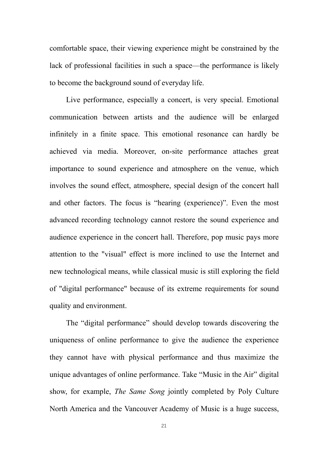comfortable space, their viewing experience might be constrained by the lack of professional facilities in such a space—the performance is likely to become the background sound of everyday life.

Live performance, especially a concert, is very special. Emotional communication between artists and the audience will be enlarged infinitely in a finite space. This emotional resonance can hardly be achieved via media. Moreover, on-site performance attaches great importance to sound experience and atmosphere on the venue, which involves the sound effect, atmosphere, special design of the concert hall and other factors. The focus is "hearing (experience)". Even the most advanced recording technology cannot restore the sound experience and audience experience in the concert hall. Therefore, pop music pays more attention to the "visual" effect is more inclined to use the Internet and new technological means, while classical music is still exploring the field of "digital performance" because of its extreme requirements for sound quality and environment.

The "digital performance" should develop towards discovering the uniqueness of online performance to give the audience the experience they cannot have with physical performance and thus maximize the unique advantages of online performance. Take "Music in the Air" digital show, for example, *The Same Song* jointly completed by Poly Culture North America and the Vancouver Academy of Music is a huge success,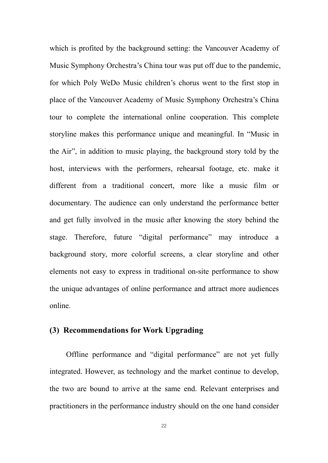which is profited by the background setting: the Vancouver Academy of Music Symphony Orchestra's China tour was put off due to the pandemic, for which Poly WeDo Music children's chorus went to the first stop in place of the Vancouver Academy of Music Symphony Orchestra's China tour to complete the international online cooperation. This complete storyline makes this performance unique and meaningful. In "Music in the Air", in addition to music playing, the background story told by the host, interviews with the performers, rehearsal footage, etc. make it different from a traditional concert, more like a music film or documentary. The audience can only understand the performance better and get fully involved in the music after knowing the story behind the stage. Therefore, future "digital performance" may introduce a background story, more colorful screens, a clear storyline and other elements not easy to express in traditional on-site performance to show the unique advantages of online performance and attract more audiences online.

#### <span id="page-23-0"></span>**(3) Recommendations for Work Upgrading**

Offline performance and "digital performance" are not yet fully integrated. However, as technology and the market continue to develop, the two are bound to arrive at the same end. Relevant enterprises and practitioners in the performance industry should on the one hand consider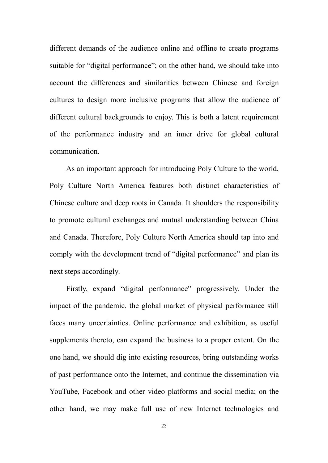different demands of the audience online and offline to create programs suitable for "digital performance"; on the other hand, we should take into account the differences and similarities between Chinese and foreign cultures to design more inclusive programs that allow the audience of different cultural backgrounds to enjoy. This is both a latent requirement of the performance industry and an inner drive for global cultural communication.

As an important approach for introducing Poly Culture to the world, Poly Culture North America features both distinct characteristics of Chinese culture and deep roots in Canada. It shoulders the responsibility to promote cultural exchanges and mutual understanding between China and Canada. Therefore, Poly Culture North America should tap into and comply with the development trend of "digital performance" and plan its next steps accordingly.

Firstly, expand "digital performance" progressively. Under the impact of the pandemic, the global market of physical performance still faces many uncertainties. Online performance and exhibition, as useful supplements thereto, can expand the business to a proper extent. On the one hand, we should dig into existing resources, bring outstanding works of past performance onto the Internet,and continue the dissemination via YouTube, Facebook and other video platforms and social media; on the other hand, we may make full use of new Internet technologies and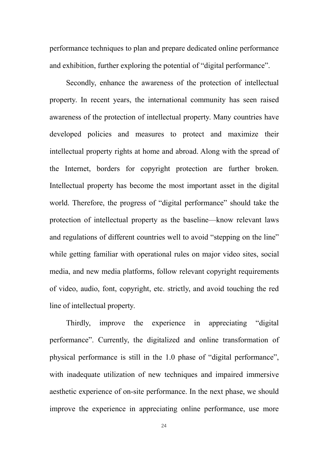performance techniques to plan and prepare dedicated online performance and exhibition, further exploring the potential of "digital performance".

Secondly, enhance the awareness of the protection of intellectual property. In recent years, the international community has seen raised awareness of the protection of intellectual property. Many countries have developed policies and measures to protect and maximize their intellectual property rights at home and abroad. Along with the spread of the Internet, borders for copyright protection are further broken. Intellectual property has become the most important asset in the digital world. Therefore, the progress of "digital performance" should take the protection of intellectual property as the baseline—know relevant laws and regulations of different countries well to avoid "stepping on the line" while getting familiar with operational rules on major video sites, social media, and new media platforms, follow relevant copyright requirements of video, audio, font, copyright, etc. strictly, and avoid touching the red line of intellectual property.

Thirdly, improve the experience in appreciating "digital performance". Currently, the digitalized and online transformation of physical performance is still in the 1.0 phase of "digital performance", with inadequate utilization of new techniques and impaired immersive aesthetic experience of on-site performance. In the next phase, we should improve the experience in appreciating online performance, use more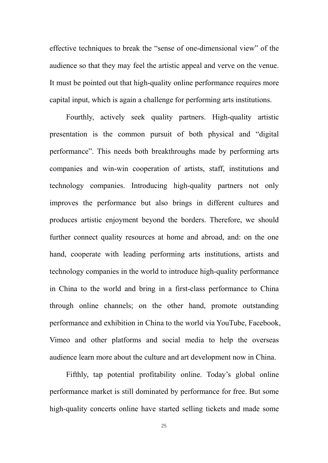effective techniques to break the "sense of one-dimensional view" of the audience so that they may feel the artistic appeal and verve on the venue. It must be pointed out that high-quality online performance requires more capital input, which is again a challenge for performing arts institutions.

Fourthly, actively seek quality partners. High-quality artistic presentation is the common pursuit of both physical and "digital performance". This needs both breakthroughs made by performing arts companies and win-win cooperation of artists, staff, institutions and technology companies. Introducing high-quality partners not only improves the performance but also brings in different cultures and produces artistic enjoyment beyond the borders.Therefore, we should further connect quality resources at home and abroad, and: on the one hand, cooperate with leading performing arts institutions, artists and technology companies in the world to introduce high-quality performance in China to the world and bring in a first-class performance to China through online channels; on the other hand, promote outstanding performance and exhibition in China to the world via YouTube, Facebook, Vimeo and other platforms and social media to help the overseas audience learn more about the culture and art development now in China.

Fifthly, tap potential profitability online. Today's global online performance market is still dominated by performance for free. But some high-quality concerts online have started selling tickets and made some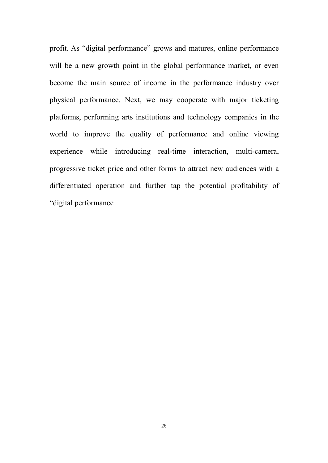profit. As "digital performance" grows and matures, online performance will be a new growth point in the global performance market, or even become the main source of income in the performance industry over physical performance. Next, we may cooperate with major ticketing platforms, performing arts institutions and technology companies in the world to improve the quality of performance and online viewing experience while introducing real-time interaction, multi-camera, progressive ticket price and other forms to attract new audiences with a differentiated operation and further tap the potential profitability of "digital performance